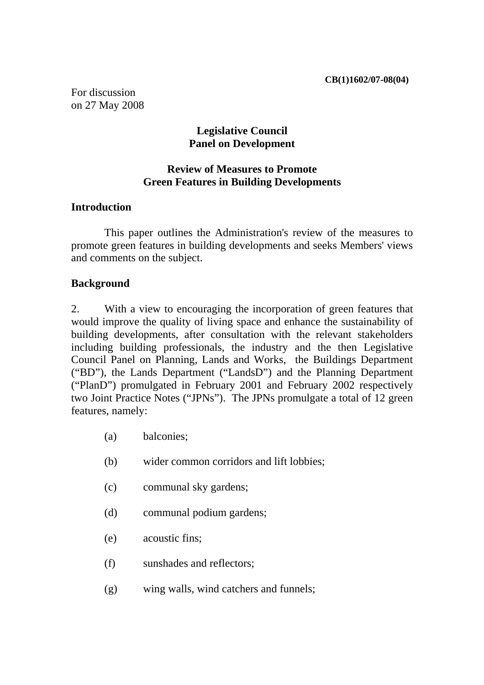For discussion on 27 May 2008

### **Legislative Council Panel on Development**

# **Review of Measures to Promote Green Features in Building Developments**

### **Introduction**

 This paper outlines the Administration's review of the measures to promote green features in building developments and seeks Members' views and comments on the subject.

#### **Background**

2. With a view to encouraging the incorporation of green features that would improve the quality of living space and enhance the sustainability of building developments, after consultation with the relevant stakeholders including building professionals, the industry and the then Legislative Council Panel on Planning, Lands and Works, the Buildings Department ("BD"), the Lands Department ("LandsD") and the Planning Department ("PlanD") promulgated in February 2001 and February 2002 respectively two Joint Practice Notes ("JPNs"). The JPNs promulgate a total of 12 green features, namely:

- (a) balconies;
- (b) wider common corridors and lift lobbies;
- (c) communal sky gardens;
- (d) communal podium gardens;
- (e) acoustic fins;
- (f) sunshades and reflectors;
- (g) wing walls, wind catchers and funnels;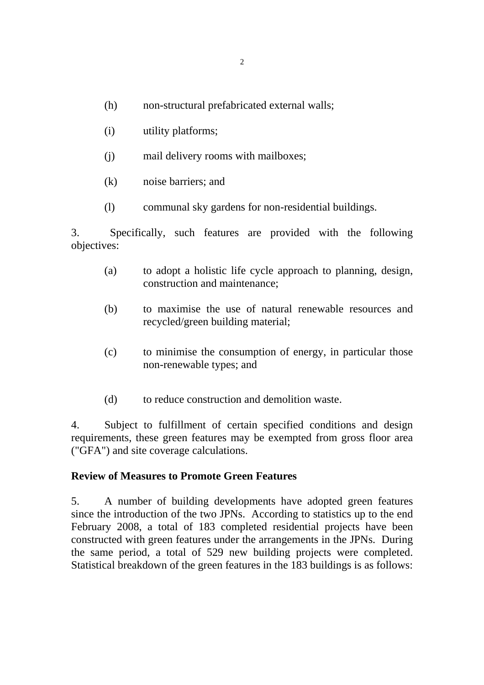- (h) non-structural prefabricated external walls;
- (i) utility platforms;
- (j) mail delivery rooms with mailboxes;
- (k) noise barriers; and
- (l) communal sky gardens for non-residential buildings.

3. Specifically, such features are provided with the following objectives:

- (a) to adopt a holistic life cycle approach to planning, design, construction and maintenance;
- (b) to maximise the use of natural renewable resources and recycled/green building material;
- (c) to minimise the consumption of energy, in particular those non-renewable types; and
- (d) to reduce construction and demolition waste.

4. Subject to fulfillment of certain specified conditions and design requirements, these green features may be exempted from gross floor area ("GFA") and site coverage calculations.

#### **Review of Measures to Promote Green Features**

5. A number of building developments have adopted green features since the introduction of the two JPNs. According to statistics up to the end February 2008, a total of 183 completed residential projects have been constructed with green features under the arrangements in the JPNs. During the same period, a total of 529 new building projects were completed. Statistical breakdown of the green features in the 183 buildings is as follows: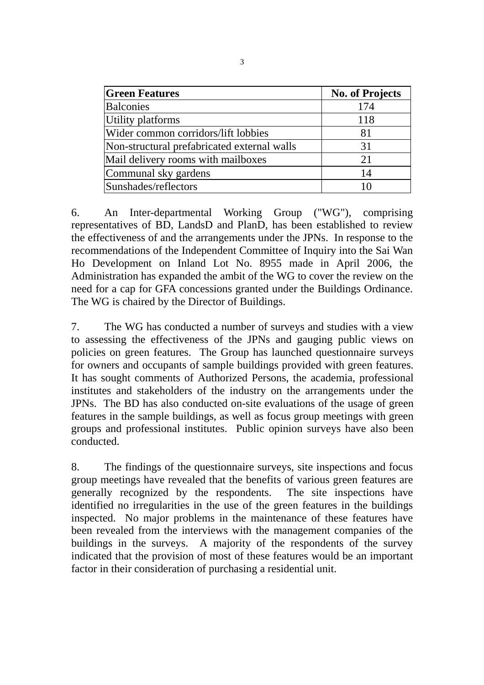| <b>Green Features</b>                       | <b>No. of Projects</b> |
|---------------------------------------------|------------------------|
| <b>Balconies</b>                            | 174                    |
| Utility platforms                           | 118                    |
| Wider common corridors/lift lobbies         | 81                     |
| Non-structural prefabricated external walls | 31                     |
| Mail delivery rooms with mailboxes          | 21                     |
| Communal sky gardens                        | 14                     |
| Sunshades/reflectors                        | 10                     |

6. An Inter-departmental Working Group ("WG"), comprising representatives of BD, LandsD and PlanD, has been established to review the effectiveness of and the arrangements under the JPNs. In response to the recommendations of the Independent Committee of Inquiry into the Sai Wan Ho Development on Inland Lot No. 8955 made in April 2006, the Administration has expanded the ambit of the WG to cover the review on the need for a cap for GFA concessions granted under the Buildings Ordinance. The WG is chaired by the Director of Buildings.

7. The WG has conducted a number of surveys and studies with a view to assessing the effectiveness of the JPNs and gauging public views on policies on green features. The Group has launched questionnaire surveys for owners and occupants of sample buildings provided with green features. It has sought comments of Authorized Persons, the academia, professional institutes and stakeholders of the industry on the arrangements under the JPNs. The BD has also conducted on-site evaluations of the usage of green features in the sample buildings, as well as focus group meetings with green groups and professional institutes. Public opinion surveys have also been conducted.

8. The findings of the questionnaire surveys, site inspections and focus group meetings have revealed that the benefits of various green features are generally recognized by the respondents. The site inspections have identified no irregularities in the use of the green features in the buildings inspected. No major problems in the maintenance of these features have been revealed from the interviews with the management companies of the buildings in the surveys. A majority of the respondents of the survey indicated that the provision of most of these features would be an important factor in their consideration of purchasing a residential unit.